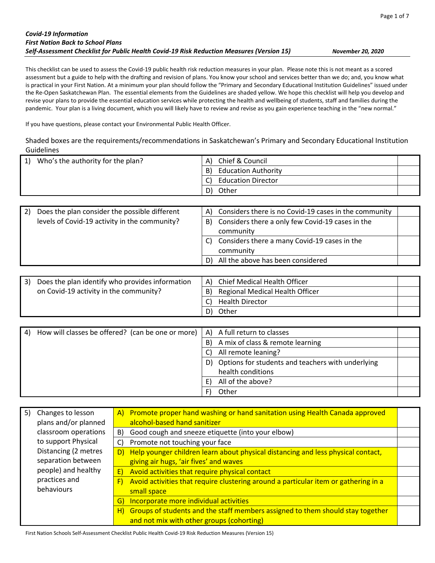| <b>Covid-19 Information</b>                                                               |
|-------------------------------------------------------------------------------------------|
| <b>First Nation Back to School Plans</b>                                                  |
| Self-Assessment Checklist for Public Health Covid-19 Risk Reduction Measures (Version 15) |

*Self-Assessment Checklist for Public Health Covid-19 Risk Reduction Measures (Version 15) November 20, 2020*

This checklist can be used to assess the Covid-19 public health risk reduction measures in your plan. Please note this is not meant as a scored assessment but a guide to help with the drafting and revision of plans. You know your school and services better than we do; and, you know what is practical in your First Nation. At a minimum your plan should follow the "Primary and Secondary Educational Institution Guidelines" issued under the Re-Open Saskatchewan Plan. The essential elements from the Guidelines are shaded yellow. We hope this checklist will help you develop and revise your plans to provide the essential education services while protecting the health and wellbeing of students, staff and families during the pandemic. Your plan is a living document, which you will likely have to review and revise as you gain experience teaching in the "new normal."

If you have questions, please contact your Environmental Public Health Officer.

Shaded boxes are the requirements/recommendations in Saskatchewan's Primary and Secondary Educational Institution Guidelines

| Who's the authority for the plan? | Chief & Council<br>A)            |  |
|-----------------------------------|----------------------------------|--|
|                                   | <b>Education Authority</b><br>B) |  |
|                                   | <b>Education Director</b>        |  |
|                                   | Other<br>D١                      |  |
|                                   |                                  |  |

| 2)  | Does the plan consider the possible different   | A) | Considers there is no Covid-19 cases in the community |  |
|-----|-------------------------------------------------|----|-------------------------------------------------------|--|
|     | levels of Covid-19 activity in the community?   | B) | Considers there a only few Covid-19 cases in the      |  |
|     |                                                 |    | community                                             |  |
|     |                                                 | C) | Considers there a many Covid-19 cases in the          |  |
|     |                                                 |    | community                                             |  |
|     |                                                 | D) | All the above has been considered                     |  |
|     |                                                 |    |                                                       |  |
| -21 | Does the plan identify who provides information | Δ۱ | Chief Medical Health Officer                          |  |

| Does the plan identify who provides information |    | A) Chief Medical Health Officer    |  |
|-------------------------------------------------|----|------------------------------------|--|
| on Covid-19 activity in the community?          |    | B) Regional Medical Health Officer |  |
|                                                 |    | <b>Health Director</b>             |  |
|                                                 | D) | Other                              |  |

| 4) | How will classes be offered? (can be one or more) | A) | A full return to classes                          |  |
|----|---------------------------------------------------|----|---------------------------------------------------|--|
|    |                                                   | B) | A mix of class & remote learning                  |  |
|    |                                                   |    | All remote leaning?                               |  |
|    |                                                   | D) | Options for students and teachers with underlying |  |
|    |                                                   |    | health conditions                                 |  |
|    |                                                   |    | All of the above?                                 |  |
|    |                                                   |    | Other                                             |  |

| Changes to lesson<br>5) | A) Promote proper hand washing or hand sanitation using Health Canada approved            |
|-------------------------|-------------------------------------------------------------------------------------------|
| plans and/or planned    | alcohol-based hand sanitizer                                                              |
| classroom operations    | Good cough and sneeze etiquette (into your elbow)<br>B)                                   |
| to support Physical     | Promote not touching your face<br>C)                                                      |
| Distancing (2 metres    | Help younger children learn about physical distancing and less physical contact,<br>D)    |
| separation between      | giving air hugs, 'air fives' and waves                                                    |
| people) and healthy     | Avoid activities that require physical contact<br>E)                                      |
| practices and           | Avoid activities that require clustering around a particular item or gathering in a<br>F) |
| behaviours              | small space                                                                               |
|                         | Incorporate more individual activities<br>G)                                              |
|                         | H) Groups of students and the staff members assigned to them should stay together         |
|                         | and not mix with other groups (cohorting)                                                 |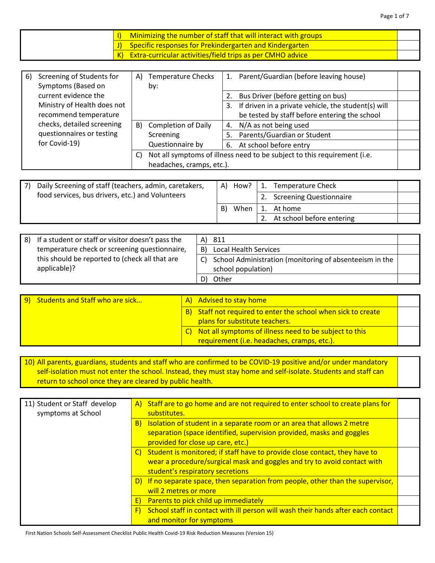|  | Minimizing the number of staff that will interact with groups         |  |
|--|-----------------------------------------------------------------------|--|
|  | $\vert$ J) Specific responses for Prekindergarten and Kindergarten    |  |
|  | $\vert$ K) Extra-curricular activities/field trips as per CMHO advice |  |

Page 1 of 7

| 6) | Screening of Students for   | A) | <b>Temperature Checks</b> |    | Parent/Guardian (before leaving house)                                   |  |
|----|-----------------------------|----|---------------------------|----|--------------------------------------------------------------------------|--|
|    | Symptoms (Based on          |    | by:                       |    |                                                                          |  |
|    | current evidence the        |    |                           |    | Bus Driver (before getting on bus)                                       |  |
|    | Ministry of Health does not |    |                           | 3. | If driven in a private vehicle, the student(s) will                      |  |
|    | recommend temperature       |    |                           |    | be tested by staff before entering the school                            |  |
|    | checks, detailed screening  |    | B) Completion of Daily    | 4. | N/A as not being used                                                    |  |
|    | questionnaires or testing   |    | Screening                 | 5. | Parents/Guardian or Student                                              |  |
|    | for Covid-19)               |    | Questionnaire by          | 6. | At school before entry                                                   |  |
|    |                             | C) |                           |    | Not all symptoms of illness need to be subject to this requirement (i.e. |  |
|    |                             |    | headaches, cramps, etc.). |    |                                                                          |  |

| Daily Screening of staff (teachers, admin, caretakers, | A) | How? | 1. Temperature Check         |  |
|--------------------------------------------------------|----|------|------------------------------|--|
| food services, bus drivers, etc.) and Volunteers       |    |      | 2. Screening Questionnaire   |  |
|                                                        | B) | When | 1. At home                   |  |
|                                                        |    |      | 2. At school before entering |  |

| 8) If a student or staff or visitor doesn't pass the |    | A) 811                                                     |  |
|------------------------------------------------------|----|------------------------------------------------------------|--|
| temperature check or screening questionnaire,        | B) | Local Health Services                                      |  |
| this should be reported to (check all that are       |    | C) School Administration (monitoring of absenteeism in the |  |
| applicable)?                                         |    | school population)                                         |  |
|                                                      |    | Other                                                      |  |

| 9) Students and Staff who are sick | A) Advised to stay home                                                                                  |  |
|------------------------------------|----------------------------------------------------------------------------------------------------------|--|
|                                    | B) Staff not required to enter the school when sick to create<br>plans for substitute teachers.          |  |
|                                    | C) Not all symptoms of illness need to be subject to this<br>requirement (i.e. headaches, cramps, etc.). |  |

10) All parents, guardians, students and staff who are confirmed to be COVID-19 positive and/or under mandatory self-isolation must not enter the school. Instead, they must stay home and self-isolate. Students and staff can return to school once they are cleared by public health.

| 11) Student or Staff develop<br>symptoms at School |    | A) Staff are to go home and are not required to enter school to create plans for<br>substitutes.                                                                                              |  |
|----------------------------------------------------|----|-----------------------------------------------------------------------------------------------------------------------------------------------------------------------------------------------|--|
|                                                    | B) | Isolation of student in a separate room or an area that allows 2 metre<br>separation (space identified, supervision provided, masks and goggles<br>provided for close up care, etc.)          |  |
|                                                    |    | C) Student is monitored; if staff have to provide close contact, they have to<br>wear a procedure/surgical mask and goggles and try to avoid contact with<br>student's respiratory secretions |  |
|                                                    |    | D) If no separate space, then separation from people, other than the supervisor,<br>will 2 metres or more                                                                                     |  |
|                                                    | E) | Parents to pick child up immediately                                                                                                                                                          |  |
|                                                    | F) | School staff in contact with ill person will wash their hands after each contact<br>and monitor for symptoms                                                                                  |  |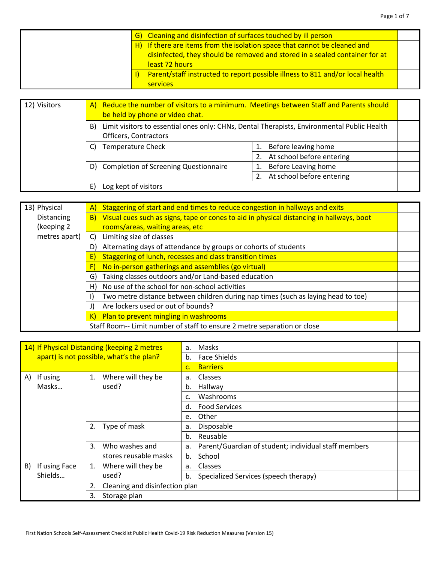| G) Cleaning and disinfection of surfaces touched by ill person                |  |
|-------------------------------------------------------------------------------|--|
| H) If there are items from the isolation space that cannot be cleaned and     |  |
| disinfected, they should be removed and stored in a sealed container for at   |  |
| least 72 hours                                                                |  |
| Parent/staff instructed to report possible illness to 811 and/or local health |  |
| <b>services</b>                                                               |  |

| 12) Visitors | A) Reduce the number of visitors to a minimum. Meetings between Staff and Parents should<br>be held by phone or video chat. |                           |  |  |
|--------------|-----------------------------------------------------------------------------------------------------------------------------|---------------------------|--|--|
|              | Limit visitors to essential ones only: CHNs, Dental Therapists, Environmental Public Health<br>B)<br>Officers, Contractors  |                           |  |  |
|              | <b>Temperature Check</b>                                                                                                    | Before leaving home       |  |  |
|              |                                                                                                                             | At school before entering |  |  |
|              | Completion of Screening Questionnaire<br>D)                                                                                 | Before Leaving home       |  |  |
|              |                                                                                                                             | At school before entering |  |  |
|              | Log kept of visitors                                                                                                        |                           |  |  |

| 13) Physical  | Staggering of start and end times to reduce congestion in hallways and exits<br>A)             |  |
|---------------|------------------------------------------------------------------------------------------------|--|
| Distancing    | Visual cues such as signs, tape or cones to aid in physical distancing in hallways, boot<br>B) |  |
| (keeping 2    | rooms/areas, waiting areas, etc                                                                |  |
| metres apart) | C) Limiting size of classes                                                                    |  |
|               | Alternating days of attendance by groups or cohorts of students<br>D)                          |  |
|               | Staggering of lunch, recesses and class transition times<br>E)                                 |  |
|               | No in-person gatherings and assemblies (go virtual)<br>F)                                      |  |
|               | Taking classes outdoors and/or Land-based education<br>G)                                      |  |
|               | H) No use of the school for non-school activities                                              |  |
|               | Two metre distance between children during nap times (such as laying head to toe)              |  |
|               | Are lockers used or out of bounds?<br>J)                                                       |  |
|               | K) Plan to prevent mingling in washrooms                                                       |  |
|               | Staff Room-- Limit number of staff to ensure 2 metre separation or close                       |  |

| 14) If Physical Distancing (keeping 2 metres<br>apart) is not possible, what's the plan? |                                      | Masks<br>a.                                                |  |
|------------------------------------------------------------------------------------------|--------------------------------------|------------------------------------------------------------|--|
|                                                                                          |                                      | <b>Face Shields</b><br>b.                                  |  |
|                                                                                          |                                      | <b>Barriers</b><br>c.                                      |  |
| If using<br>A)                                                                           | Where will they be<br>1.             | Classes<br>a.                                              |  |
| Masks                                                                                    | used?                                | Hallway<br>b.                                              |  |
|                                                                                          |                                      | Washrooms<br>c.                                            |  |
|                                                                                          |                                      | <b>Food Services</b><br>d.                                 |  |
|                                                                                          |                                      | Other<br>e.                                                |  |
|                                                                                          | Type of mask<br>2.                   | Disposable<br>a.                                           |  |
|                                                                                          |                                      | Reusable<br>b.                                             |  |
|                                                                                          | 3.<br>Who washes and                 | Parent/Guardian of student; individual staff members<br>a. |  |
|                                                                                          | stores reusable masks                | School<br>b.                                               |  |
| If using Face<br>B)                                                                      | Where will they be<br>1.             | Classes<br>a.                                              |  |
| Shields                                                                                  | used?                                | Specialized Services (speech therapy)<br>b.                |  |
|                                                                                          | Cleaning and disinfection plan<br>2. |                                                            |  |
|                                                                                          | Storage plan<br>3.                   |                                                            |  |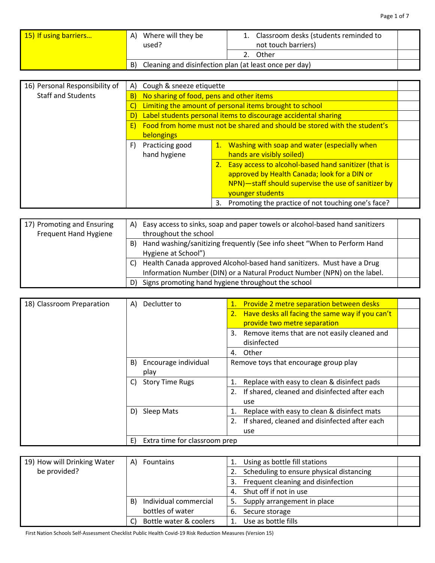| 15) If using barriers | Where will they be<br>A)<br>used?                            | Classroom desks (students reminded to<br>not touch barriers) |  |
|-----------------------|--------------------------------------------------------------|--------------------------------------------------------------|--|
|                       |                                                              | Other                                                        |  |
|                       | Cleaning and disinfection plan (at least once per day)<br>B) |                                                              |  |

| 16) Personal Responsibility of | A)                | Cough & sneeze etiquette                                |    |                                                                           |  |
|--------------------------------|-------------------|---------------------------------------------------------|----|---------------------------------------------------------------------------|--|
| <b>Staff and Students</b>      | $\vert B \rangle$ | No sharing of food, pens and other items                |    |                                                                           |  |
|                                |                   | Limiting the amount of personal items brought to school |    |                                                                           |  |
|                                |                   |                                                         |    | Label students personal items to discourage accidental sharing            |  |
|                                | E)                |                                                         |    | Food from home must not be shared and should be stored with the student's |  |
|                                |                   | belongings                                              |    |                                                                           |  |
|                                | F)                | Practicing good                                         |    | 1. Washing with soap and water (especially when                           |  |
|                                |                   | hand hygiene                                            |    | hands are visibly soiled)                                                 |  |
|                                |                   |                                                         |    | Easy access to alcohol-based hand sanitizer (that is                      |  |
|                                |                   |                                                         |    | approved by Health Canada; look for a DIN or                              |  |
|                                |                   |                                                         |    | NPN)-staff should supervise the use of sanitizer by                       |  |
|                                |                   |                                                         |    | younger students                                                          |  |
|                                |                   |                                                         | 3. | Promoting the practice of not touching one's face?                        |  |

| 17) Promoting and Ensuring<br><b>Frequent Hand Hygiene</b> | A) | Easy access to sinks, soap and paper towels or alcohol-based hand sanitizers<br>throughout the school                                              |  |
|------------------------------------------------------------|----|----------------------------------------------------------------------------------------------------------------------------------------------------|--|
|                                                            | B) | Hand washing/sanitizing frequently (See info sheet "When to Perform Hand<br>Hygiene at School")                                                    |  |
|                                                            |    | Health Canada approved Alcohol-based hand sanitizers. Must have a Drug<br>Information Number (DIN) or a Natural Product Number (NPN) on the label. |  |
|                                                            |    | Signs promoting hand hygiene throughout the school                                                                                                 |  |

| 18) Classroom Preparation | Declutter to<br>A)                  | <b>Provide 2 metre separation between desks</b><br>1. |
|---------------------------|-------------------------------------|-------------------------------------------------------|
|                           |                                     | 2. Have desks all facing the same way if you can't    |
|                           |                                     | provide two metre separation                          |
|                           |                                     | 3. Remove items that are not easily cleaned and       |
|                           |                                     | disinfected                                           |
|                           |                                     | Other<br>4.                                           |
|                           | Encourage individual<br>B)          | Remove toys that encourage group play                 |
|                           | play                                |                                                       |
|                           | <b>Story Time Rugs</b><br>C)        | Replace with easy to clean & disinfect pads           |
|                           |                                     | If shared, cleaned and disinfected after each<br>2.   |
|                           |                                     | use                                                   |
|                           | <b>Sleep Mats</b><br>D)             | Replace with easy to clean & disinfect mats           |
|                           |                                     | If shared, cleaned and disinfected after each<br>2.   |
|                           |                                     | use                                                   |
|                           | Extra time for classroom prep<br>E) |                                                       |

| 19) How will Drinking Water | Fountains<br>A)             | Using as bottle fill stations            |  |
|-----------------------------|-----------------------------|------------------------------------------|--|
| be provided?                |                             | Scheduling to ensure physical distancing |  |
|                             |                             | Frequent cleaning and disinfection<br>3. |  |
|                             |                             | 4. Shut off if not in use                |  |
|                             | Individual commercial<br>B) | Supply arrangement in place<br>5.        |  |
|                             | bottles of water            | Secure storage<br>6.                     |  |
|                             | Bottle water & coolers      | Use as bottle fills                      |  |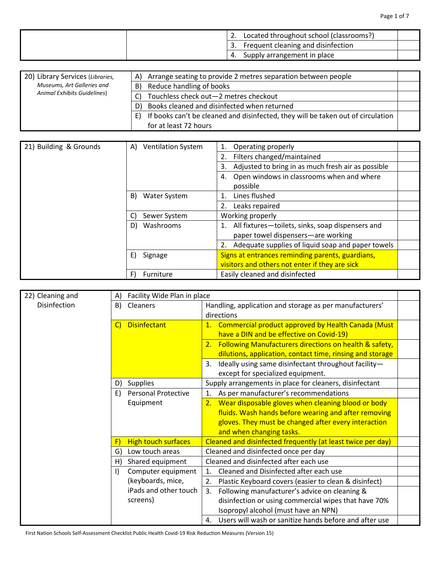| 2. Located throughout school (classrooms?) |
|--------------------------------------------|
| 3. Frequent cleaning and disinfection      |
| 4. Supply arrangement in place             |

| 20) Library Services (Libraries,   | Arrange seating to provide 2 metres separation between people<br>A)                    |  |
|------------------------------------|----------------------------------------------------------------------------------------|--|
| Museums, Art Galleries and         | Reduce handling of books<br>B)                                                         |  |
| <b>Animal Exhibits Guidelines)</b> | Touchless check out-2 metres checkout                                                  |  |
|                                    | Books cleaned and disinfected when returned<br>D)                                      |  |
|                                    | If books can't be cleaned and disinfected, they will be taken out of circulation<br>E) |  |
|                                    | for at least 72 hours                                                                  |  |

| 21) Building & Grounds | <b>Ventilation System</b><br>A) | Operating properly                                          |  |
|------------------------|---------------------------------|-------------------------------------------------------------|--|
|                        |                                 | Filters changed/maintained<br>2.                            |  |
|                        |                                 | Adjusted to bring in as much fresh air as possible<br>3.    |  |
|                        |                                 | Open windows in classrooms when and where<br>4.<br>possible |  |
|                        | Water System<br>B)              | Lines flushed                                               |  |
|                        |                                 | Leaks repaired<br>2.                                        |  |
|                        | Sewer System<br>C)              | Working properly                                            |  |
|                        | D)<br>Washrooms                 | 1. All fixtures-toilets, sinks, soap dispensers and         |  |
|                        |                                 | paper towel dispensers-are working                          |  |
|                        |                                 | Adequate supplies of liquid soap and paper towels<br>2.     |  |
|                        | E)<br>Signage                   | Signs at entrances reminding parents, guardians,            |  |
|                        |                                 | visitors and others not enter if they are sick              |  |
|                        | Furniture                       | Easily cleaned and disinfected                              |  |

| 22) Cleaning and | A)      | Facility Wide Plan in place |         |                                                                                                                        |  |
|------------------|---------|-----------------------------|---------|------------------------------------------------------------------------------------------------------------------------|--|
| Disinfection     | B)      | Cleaners                    |         | Handling, application and storage as per manufacturers'<br>directions                                                  |  |
|                  | C)      | <b>Disinfectant</b>         |         | 1. Commercial product approved by Health Canada (Must<br>have a DIN and be effective on Covid-19)                      |  |
|                  |         |                             |         | 2. Following Manufacturers directions on health & safety,<br>dilutions, application, contact time, rinsing and storage |  |
|                  |         |                             | 3.      | Ideally using same disinfectant throughout facility-<br>except for specialized equipment.                              |  |
|                  | D)      | <b>Supplies</b>             |         | Supply arrangements in place for cleaners, disinfectant                                                                |  |
|                  | E)      | <b>Personal Protective</b>  | 1.      | As per manufacturer's recommendations                                                                                  |  |
|                  |         | Equipment                   |         | 2. Wear disposable gloves when cleaning blood or body                                                                  |  |
|                  |         |                             |         | fluids. Wash hands before wearing and after removing                                                                   |  |
|                  |         |                             |         | gloves. They must be changed after every interaction                                                                   |  |
|                  |         |                             |         | and when changing tasks.                                                                                               |  |
|                  | F)      | <b>High touch surfaces</b>  |         | Cleaned and disinfected frequently (at least twice per day)                                                            |  |
|                  | G)      | Low touch areas             |         | Cleaned and disinfected once per day                                                                                   |  |
|                  | H)      | Shared equipment            |         | Cleaned and disinfected after each use                                                                                 |  |
|                  | $\vert$ | Computer equipment          | $1_{-}$ | Cleaned and Disinfected after each use                                                                                 |  |
|                  |         | (keyboards, mice,           | 2.      | Plastic Keyboard covers (easier to clean & disinfect)                                                                  |  |
|                  |         | iPads and other touch       | 3.      | Following manufacturer's advice on cleaning &                                                                          |  |
|                  |         | screens)                    |         | disinfection or using commercial wipes that have 70%                                                                   |  |
|                  |         |                             |         | Isopropyl alcohol (must have an NPN)                                                                                   |  |
|                  |         |                             | 4.      | Users will wash or sanitize hands before and after use                                                                 |  |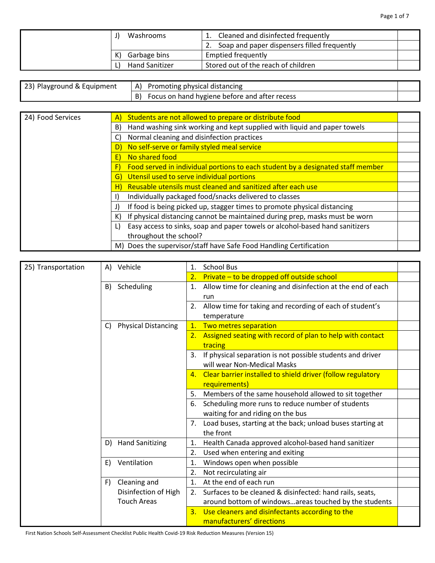| Washrooms             | Cleaned and disinfected frequently          |  |
|-----------------------|---------------------------------------------|--|
|                       | Soap and paper dispensers filled frequently |  |
| Garbage bins<br>K)    | <b>Emptied frequently</b>                   |  |
| <b>Hand Sanitizer</b> | Stored out of the reach of children         |  |

| 23) Playground & Equipment | Promoting physical distancing<br>A)           |  |
|----------------------------|-----------------------------------------------|--|
|                            | Focus on hand hygiene before and after recess |  |

| 24) Food Services | Students are not allowed to prepare or distribute food<br>$\mathsf{A}$                |  |
|-------------------|---------------------------------------------------------------------------------------|--|
|                   | Hand washing sink working and kept supplied with liquid and paper towels<br>B)        |  |
|                   | Normal cleaning and disinfection practices<br>C)                                      |  |
|                   | No self-serve or family styled meal service<br>D)                                     |  |
|                   | No shared food<br>E)                                                                  |  |
|                   | Food served in individual portions to each student by a designated staff member<br>F) |  |
|                   | Utensil used to serve individual portions<br>G)                                       |  |
|                   | Reusable utensils must cleaned and sanitized after each use<br>H)                     |  |
|                   | Individually packaged food/snacks delivered to classes                                |  |
|                   | If food is being picked up, stagger times to promote physical distancing<br>J)        |  |
|                   | If physical distancing cannot be maintained during prep, masks must be worn<br>K)     |  |
|                   | Easy access to sinks, soap and paper towels or alcohol-based hand sanitizers<br>L)    |  |
|                   | throughout the school?                                                                |  |
|                   | M) Does the supervisor/staff have Safe Food Handling Certification                    |  |

| 25) Transportation |    | A) Vehicle                                 | 1.             | <b>School Bus</b>                                              |  |
|--------------------|----|--------------------------------------------|----------------|----------------------------------------------------------------|--|
|                    |    |                                            | 2.             | Private - to be dropped off outside school                     |  |
|                    | B) | Scheduling                                 | 1.             | Allow time for cleaning and disinfection at the end of each    |  |
|                    |    |                                            |                | run                                                            |  |
|                    |    |                                            | 2.             | Allow time for taking and recording of each of student's       |  |
|                    |    |                                            |                | temperature                                                    |  |
|                    | C) | <b>Physical Distancing</b>                 | $\mathbf{1}$ . | Two metres separation                                          |  |
|                    |    |                                            | 2.             | Assigned seating with record of plan to help with contact      |  |
|                    |    |                                            |                | tracing                                                        |  |
|                    |    |                                            | 3.             | If physical separation is not possible students and driver     |  |
|                    |    |                                            |                | will wear Non-Medical Masks                                    |  |
|                    |    |                                            |                | 4. Clear barrier installed to shield driver (follow regulatory |  |
|                    |    |                                            |                | requirements)                                                  |  |
|                    |    |                                            | 5.             | Members of the same household allowed to sit together          |  |
|                    |    |                                            | 6.             | Scheduling more runs to reduce number of students              |  |
|                    |    |                                            |                | waiting for and riding on the bus                              |  |
|                    |    |                                            |                | 7. Load buses, starting at the back; unload buses starting at  |  |
|                    |    |                                            |                | the front                                                      |  |
|                    | D) | <b>Hand Sanitizing</b>                     | 1.             | Health Canada approved alcohol-based hand sanitizer            |  |
|                    |    |                                            | 2.             | Used when entering and exiting                                 |  |
|                    | E) | Ventilation                                | 1.             | Windows open when possible                                     |  |
|                    |    |                                            | 2.             | Not recirculating air                                          |  |
|                    | F) | Cleaning and                               | 1.             | At the end of each run                                         |  |
|                    |    | Disinfection of High<br><b>Touch Areas</b> | 2.             | Surfaces to be cleaned & disinfected: hand rails, seats,       |  |
|                    |    |                                            |                | around bottom of windowsareas touched by the students          |  |
|                    |    |                                            | 3.             | Use cleaners and disinfectants according to the                |  |
|                    |    |                                            |                | manufacturers' directions                                      |  |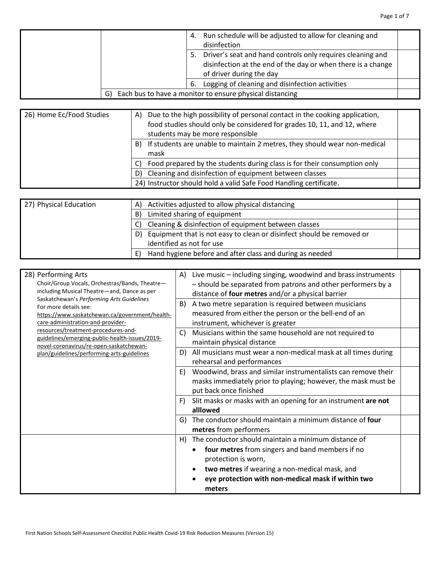| 4.  | Run schedule will be adjusted to allow for cleaning and<br>disinfection                                                                                |  |
|-----|--------------------------------------------------------------------------------------------------------------------------------------------------------|--|
| 5.  | Driver's seat and hand controls only requires cleaning and<br>disinfection at the end of the day or when there is a change<br>of driver during the day |  |
| -6. | Logging of cleaning and disinfection activities                                                                                                        |  |
| G)  | Each bus to have a monitor to ensure physical distancing                                                                                               |  |

| 26) Home Ec/Food Studies | A) | Due to the high possibility of personal contact in the cooking application,<br>food studies should only be considered for grades 10, 11, and 12, where<br>students may be more responsible |  |
|--------------------------|----|--------------------------------------------------------------------------------------------------------------------------------------------------------------------------------------------|--|
|                          | B) | If students are unable to maintain 2 metres, they should wear non-medical<br>mask                                                                                                          |  |
|                          |    | Food prepared by the students during class is for their consumption only                                                                                                                   |  |
|                          | D) | Cleaning and disinfection of equipment between classes                                                                                                                                     |  |
|                          |    | 24) Instructor should hold a valid Safe Food Handling certificate.                                                                                                                         |  |

| 27) Physical Education | A) Activities adjusted to allow physical distancing                         |  |
|------------------------|-----------------------------------------------------------------------------|--|
|                        | Limited sharing of equipment<br>B)                                          |  |
|                        | C) Cleaning & disinfection of equipment between classes                     |  |
|                        | Equipment that is not easy to clean or disinfect should be removed or<br>D) |  |
|                        | identified as not for use                                                   |  |
|                        | Hand hygiene before and after class and during as needed<br>E)              |  |

| 28) Performing Arts<br>Choir/Group Vocals, Orchestras/Bands, Theatre-<br>including Musical Theatre-and, Dance as per<br>Saskatchewan's Performing Arts Guidelines<br>For more details see:<br>https://www.saskatchewan.ca/government/health-<br>care-administration-and-provider- | A)<br>B) | Live music - including singing, woodwind and brass instruments<br>- should be separated from patrons and other performers by a<br>distance of four metres and/or a physical barrier<br>A two metre separation is required between musicians<br>measured from either the person or the bell-end of an<br>instrument, whichever is greater |  |
|-----------------------------------------------------------------------------------------------------------------------------------------------------------------------------------------------------------------------------------------------------------------------------------|----------|------------------------------------------------------------------------------------------------------------------------------------------------------------------------------------------------------------------------------------------------------------------------------------------------------------------------------------------|--|
| resources/treatment-procedures-and-<br>guidelines/emerging-public-health-issues/2019-<br>novel-coronavirus/re-open-saskatchewan-                                                                                                                                                  | C)       | Musicians within the same household are not required to<br>maintain physical distance                                                                                                                                                                                                                                                    |  |
| plan/guidelines/performing-arts-guidelines                                                                                                                                                                                                                                        | D)       | All musicians must wear a non-medical mask at all times during<br>rehearsal and performances                                                                                                                                                                                                                                             |  |
|                                                                                                                                                                                                                                                                                   | E)       | Woodwind, brass and similar instrumentalists can remove their<br>masks immediately prior to playing; however, the mask must be<br>put back once finished                                                                                                                                                                                 |  |
|                                                                                                                                                                                                                                                                                   | F)       | Slit masks or masks with an opening for an instrument are not<br>alllowed                                                                                                                                                                                                                                                                |  |
|                                                                                                                                                                                                                                                                                   | G)       | The conductor should maintain a minimum distance of four<br>metres from performers                                                                                                                                                                                                                                                       |  |
|                                                                                                                                                                                                                                                                                   | H)       | The conductor should maintain a minimum distance of<br>four metres from singers and band members if no<br>protection is worn,<br>two metres if wearing a non-medical mask, and<br>eye protection with non-medical mask if within two<br>meters                                                                                           |  |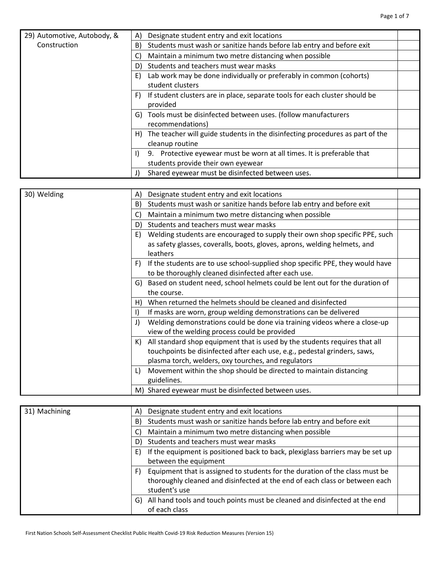| 29) Automotive, Autobody, & | A) | Designate student entry and exit locations                                    |  |
|-----------------------------|----|-------------------------------------------------------------------------------|--|
| Construction                | B) | Students must wash or sanitize hands before lab entry and before exit         |  |
|                             | C) | Maintain a minimum two metre distancing when possible                         |  |
|                             | D) | Students and teachers must wear masks                                         |  |
|                             | E) | Lab work may be done individually or preferably in common (cohorts)           |  |
|                             |    | student clusters                                                              |  |
|                             |    | If student clusters are in place, separate tools for each cluster should be   |  |
|                             |    | provided                                                                      |  |
|                             |    | G) Tools must be disinfected between uses. (follow manufacturers              |  |
|                             |    | recommendations)                                                              |  |
|                             | H) | The teacher will guide students in the disinfecting procedures as part of the |  |
|                             |    | cleanup routine                                                               |  |
|                             |    | 9. Protective eyewear must be worn at all times. It is preferable that        |  |
|                             |    | students provide their own eyewear                                            |  |
|                             | J) | Shared eyewear must be disinfected between uses.                              |  |

| 30) Welding | A) | Designate student entry and exit locations                                     |  |
|-------------|----|--------------------------------------------------------------------------------|--|
|             | B) | Students must wash or sanitize hands before lab entry and before exit          |  |
|             | C) | Maintain a minimum two metre distancing when possible                          |  |
|             | D) | Students and teachers must wear masks                                          |  |
|             | E) | Welding students are encouraged to supply their own shop specific PPE, such    |  |
|             |    | as safety glasses, coveralls, boots, gloves, aprons, welding helmets, and      |  |
|             |    | leathers                                                                       |  |
|             | F) | If the students are to use school-supplied shop specific PPE, they would have  |  |
|             |    | to be thoroughly cleaned disinfected after each use.                           |  |
|             |    | G) Based on student need, school helmets could be lent out for the duration of |  |
|             |    | the course.                                                                    |  |
|             | H) | When returned the helmets should be cleaned and disinfected                    |  |
|             |    | If masks are worn, group welding demonstrations can be delivered               |  |
|             | J) | Welding demonstrations could be done via training videos where a close-up      |  |
|             |    | view of the welding process could be provided                                  |  |
|             | K) | All standard shop equipment that is used by the students requires that all     |  |
|             |    | touchpoints be disinfected after each use, e.g., pedestal grinders, saws,      |  |
|             |    | plasma torch, welders, oxy tourches, and regulators                            |  |
|             |    | Movement within the shop should be directed to maintain distancing             |  |
|             |    | guidelines.                                                                    |  |
|             |    | M) Shared eyewear must be disinfected between uses.                            |  |

| 31) Machining |    | Designate student entry and exit locations                                     |  |
|---------------|----|--------------------------------------------------------------------------------|--|
|               | B) | Students must wash or sanitize hands before lab entry and before exit          |  |
|               | C) | Maintain a minimum two metre distancing when possible                          |  |
|               | D) | Students and teachers must wear masks                                          |  |
|               |    | If the equipment is positioned back to back, plexiglass barriers may be set up |  |
|               |    | between the equipment                                                          |  |
|               |    | Equipment that is assigned to students for the duration of the class must be   |  |
|               |    | thoroughly cleaned and disinfected at the end of each class or between each    |  |
|               |    | student's use                                                                  |  |
|               | G) | All hand tools and touch points must be cleaned and disinfected at the end     |  |
|               |    | of each class                                                                  |  |